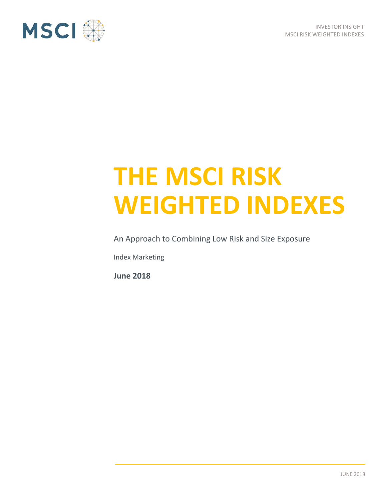

# **THE MSCI RISK WEIGHTED INDEXES**

An Approach to Combining Low Risk and Size Exposure

Index Marketing

**June 2018**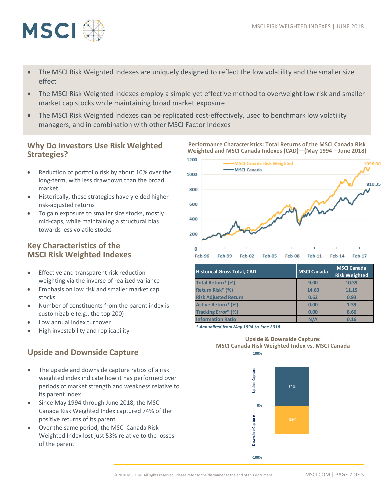

- The MSCI Risk Weighted Indexes are uniquely designed to reflect the low volatility and the smaller size effect
- The MSCI Risk Weighted Indexes employ a simple yet effective method to overweight low risk and smaller market cap stocks while maintaining broad market exposure
- The MSCI Risk Weighted Indexes can be replicated cost-effectively, used to benchmark low volatility managers, and in combination with other MSCI Factor Indexes

### **Why Do Investors Use Risk Weighted Strategies?**

- Reduction of portfolio risk by about 10% over the long-term, with less drawdown than the broad market
- Historically, these strategies have yielded higher risk-adjusted returns
- To gain exposure to smaller size stocks, mostly mid-caps, while maintaining a structural bias towards less volatile stocks

## **Key Characteristics of the MSCI Risk Weighted Indexes**

- Effective and transparent risk reduction weighting via the inverse of realized variance
- Emphasis on low risk and smaller market cap stocks
- Number of constituents from the parent index is customizable (e.g., the top 200)
- Low annual index turnover
- High investability and replicability

## **Upside and Downside Capture**

- The upside and downside capture ratios of a risk weighted index indicate how it has performed over periods of market strength and weakness relative to its parent index
- Since May 1994 through June 2018, the MSCI Canada Risk Weighted Index captured 74% of the positive returns of its parent
- Over the same period, the MSCI Canada Risk Weighted Index lost just 53% relative to the losses of the parent



**Performance Characteristics: Total Returns of the MSCI Canada Risk Weighted and MSCI Canada Indexes (CAD)—(May 1994 – June 2018)**

| <b>Historical Gross Total, CAD</b> | <b>MSCI Canada</b> | <b>MSCI Canada</b><br><b>Risk Weighted</b> |
|------------------------------------|--------------------|--------------------------------------------|
| <b>Total Return* (%)</b>           | 9.00               | 10.39                                      |
| Return Risk* (%)                   | 14.60              | 11.15                                      |
| <b>Risk Adjusted Return</b>        | 0.62               | 0.93                                       |
| <b>Active Return* (%)</b>          | 0.00               | 1.39                                       |
| <b>Tracking Error* (%)</b>         | 0.00               | 8.66                                       |
| <b>Information Ratio</b>           | N/A                | 0.16                                       |

*\* Annualized from May 1994 to June 2018*



#### **Upside & Downside Capture: MSCI Canada Risk Weighted Index vs. MSCI Canada**

© 2018 MSCI Inc. All rights reserved. Please refer to the disclaimer at the end of this document. MSCI.COM | PAGE 2 OF 5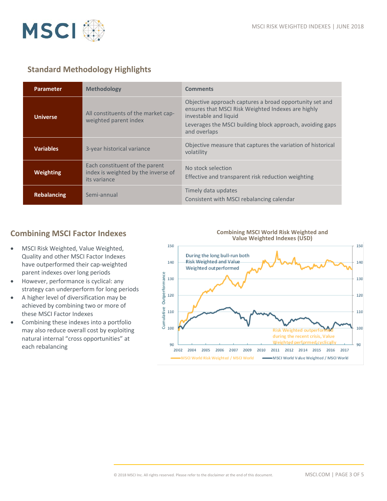

## **Standard Methodology Highlights**

| <b>Parameter</b>   | <b>Methodology</b>                                                                    | <b>Comments</b>                                                                                                                                                                                                     |
|--------------------|---------------------------------------------------------------------------------------|---------------------------------------------------------------------------------------------------------------------------------------------------------------------------------------------------------------------|
| Universe           | All constituents of the market cap-<br>weighted parent index                          | Objective approach captures a broad opportunity set and<br>ensures that MSCI Risk Weighted Indexes are highly<br>investable and liquid<br>Leverages the MSCI building block approach, avoiding gaps<br>and overlaps |
| <b>Variables</b>   | 3-year historical variance                                                            | Objective measure that captures the variation of historical<br>volatility                                                                                                                                           |
| Weighting          | Each constituent of the parent<br>index is weighted by the inverse of<br>its variance | No stock selection<br>Effective and transparent risk reduction weighting                                                                                                                                            |
| <b>Rebalancing</b> | Semi-annual                                                                           | Timely data updates<br>Consistent with MSCI rebalancing calendar                                                                                                                                                    |

## **Combining MSCI Factor Indexes**

- MSCI Risk Weighted, Value Weighted, Quality and other MSCI Factor Indexes have outperformed their cap-weighted parent indexes over long periods
- However, performance is cyclical: any strategy can underperform for long periods
- A higher level of diversification may be achieved by combining two or more of these MSCI Factor Indexes
- Combining these indexes into a portfolio may also reduce overall cost by exploiting natural internal "cross opportunities" at each rebalancing

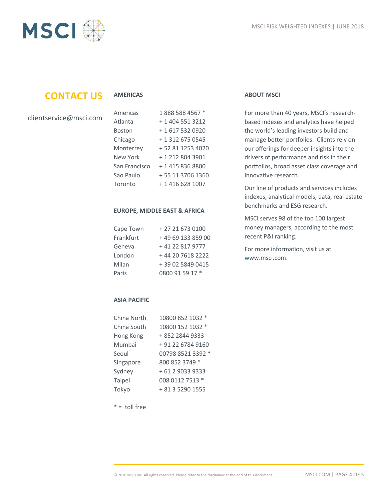

# **CONTACT US**

#### **AMERICAS**

| clientservice@msci.com |  |
|------------------------|--|
|------------------------|--|

| Americas      | 1888 588 4567 *  |
|---------------|------------------|
| Atlanta       | + 1 404 551 3212 |
| Boston        | +1 617 532 0920  |
| Chicago       | + 1 312 675 0545 |
| Monterrey     | +52 81 1253 4020 |
| New York      | +1 212 804 3901  |
| San Francisco | + 1 415 836 8800 |
| Sao Paulo     | +55 11 3706 1360 |
| Toronto       | + 1 416 628 1007 |

#### **EUROPE, MIDDLE EAST & AFRICA**

| Cape Town | +27 21 673 0100   |
|-----------|-------------------|
| Frankfurt | +49 69 133 859 00 |
| Geneva    | +41 22 817 9777   |
| London    | +44 20 7618 2222  |
| Milan     | +39 02 5849 0415  |
| Paris     | 0800 91 59 17 *   |

#### **ABOUT MSCI**

For more than 40 years, MSCI's researchbased indexes and analytics have helped the world's leading investors build and manage better portfolios. Clients rely on our offerings for deeper insights into the drivers of performance and risk in their portfolios, broad asset class coverage and innovative research.

Our line of products and services includes indexes, analytical models, data, real estate benchmarks and ESG research.

MSCI serves 98 of the top 100 largest money managers, according to the most recent P&I ranking.

For more information, visit us at [www.msci.com.](file://int.msci.com/root/London/lib/Marketing/London/Rebranding%20Project/Templates/New%20Logo/Nearly%20There/www.msci.com)

#### **ASIA PACIFIC**

| China North | 10800 852 1032 *  |
|-------------|-------------------|
| China South | 10800 152 1032 *  |
| Hong Kong   | +852 2844 9333    |
| Mumbai      | + 91 22 6784 9160 |
| Seoul       | 00798 8521 3392 * |
| Singapore   | 800 852 3749 *    |
| Sydney      | +61290339333      |
| Taipei      | 008 0112 7513 *   |
| Tokyo       | + 81 3 5290 1555  |

 $* =$  toll free